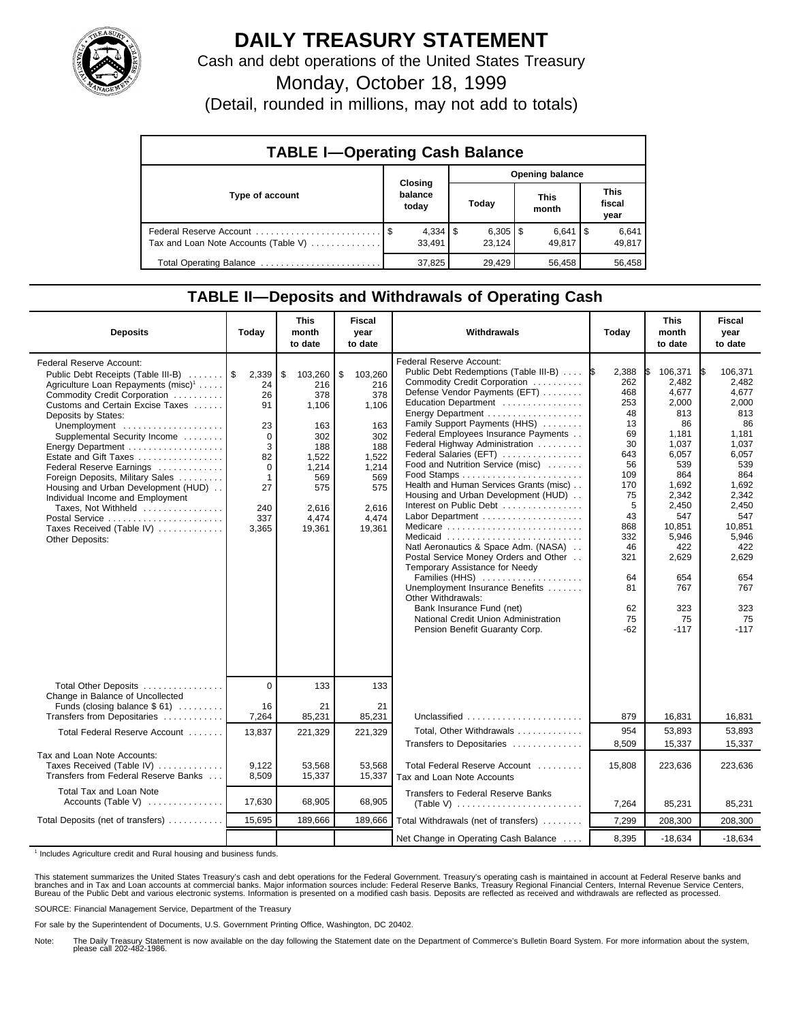

## **DAILY TREASURY STATEMENT**

Cash and debt operations of the United States Treasury

Monday, October 18, 1999

(Detail, rounded in millions, may not add to totals)

| <b>TABLE I-Operating Cash Balance</b> |  |                             |                 |                        |  |                              |  |                        |  |
|---------------------------------------|--|-----------------------------|-----------------|------------------------|--|------------------------------|--|------------------------|--|
|                                       |  |                             | Opening balance |                        |  |                              |  |                        |  |
| Type of account                       |  | Closing<br>balance<br>today |                 | Today                  |  | This<br>month                |  | This<br>fiscal<br>year |  |
| Tax and Loan Note Accounts (Table V)  |  | $4,334$   \$<br>33.491      |                 | $6,305$   \$<br>23.124 |  | $6,641$ $\sqrt{5}$<br>49.817 |  | 6,641<br>49,817        |  |
| Total Operating Balance               |  | 37,825                      |                 | 29,429                 |  | 56,458                       |  | 56,458                 |  |

## **TABLE II—Deposits and Withdrawals of Operating Cash**

| <b>Deposits</b>                                                                                                                                                                                                                                                                                                                                                                                                                                                                                                                                | Today                                                                                                           | <b>This</b><br>month<br>to date                                                                                       | <b>Fiscal</b><br>year<br>to date                                                                                      | Withdrawals                                                                                                                                                                                                                                                                                                                                                                                                                                                                                                                                                                                                                                                                                                                                                                                                             | Today                                                                                                                                                           | <b>This</b><br>month<br>to date                                                                                                                                                                    | <b>Fiscal</b><br>year<br>to date                                                                                                                                                                          |
|------------------------------------------------------------------------------------------------------------------------------------------------------------------------------------------------------------------------------------------------------------------------------------------------------------------------------------------------------------------------------------------------------------------------------------------------------------------------------------------------------------------------------------------------|-----------------------------------------------------------------------------------------------------------------|-----------------------------------------------------------------------------------------------------------------------|-----------------------------------------------------------------------------------------------------------------------|-------------------------------------------------------------------------------------------------------------------------------------------------------------------------------------------------------------------------------------------------------------------------------------------------------------------------------------------------------------------------------------------------------------------------------------------------------------------------------------------------------------------------------------------------------------------------------------------------------------------------------------------------------------------------------------------------------------------------------------------------------------------------------------------------------------------------|-----------------------------------------------------------------------------------------------------------------------------------------------------------------|----------------------------------------------------------------------------------------------------------------------------------------------------------------------------------------------------|-----------------------------------------------------------------------------------------------------------------------------------------------------------------------------------------------------------|
| Federal Reserve Account:<br>Public Debt Receipts (Table III-B)<br>Agriculture Loan Repayments (misc) <sup>1</sup><br>Commodity Credit Corporation<br>Customs and Certain Excise Taxes<br>Deposits by States:<br>Unemployment<br>Supplemental Security Income<br>Energy Department<br>Estate and Gift Taxes<br>Federal Reserve Earnings<br>Foreign Deposits, Military Sales<br>Housing and Urban Development (HUD)<br>Individual Income and Employment<br>Taxes, Not Withheld<br>Postal Service<br>Taxes Received (Table IV)<br>Other Deposits: | 2,339<br>24<br>26<br>91<br>23<br>$\mathbf 0$<br>3<br>82<br>$\Omega$<br>$\mathbf 1$<br>27<br>240<br>337<br>3,365 | \$<br>103,260<br>216<br>378<br>1,106<br>163<br>302<br>188<br>1,522<br>1,214<br>569<br>575<br>2,616<br>4.474<br>19,361 | \$<br>103,260<br>216<br>378<br>1,106<br>163<br>302<br>188<br>1,522<br>1,214<br>569<br>575<br>2.616<br>4.474<br>19,361 | Federal Reserve Account:<br>Public Debt Redemptions (Table III-B)<br>Commodity Credit Corporation<br>Defense Vendor Payments (EFT)<br>Education Department<br>Energy Department<br>Family Support Payments (HHS)<br>Federal Employees Insurance Payments<br>Federal Highway Administration<br>Federal Salaries (EFT)<br>Food and Nutrition Service (misc)<br>Health and Human Services Grants (misc)<br>Housing and Urban Development (HUD)<br>Interest on Public Debt<br>Labor Department<br>Medicare<br>Medicaid<br>Natl Aeronautics & Space Adm. (NASA)<br>Postal Service Money Orders and Other<br>Temporary Assistance for Needy<br>Families (HHS)<br>Unemployment Insurance Benefits<br>Other Withdrawals:<br>Bank Insurance Fund (net)<br>National Credit Union Administration<br>Pension Benefit Guaranty Corp. | 2,388<br>1\$<br>262<br>468<br>253<br>48<br>13<br>69<br>30<br>643<br>56<br>109<br>170<br>75<br>5<br>43<br>868<br>332<br>46<br>321<br>64<br>81<br>62<br>75<br>-62 | 106,371<br>2,482<br>4,677<br>2,000<br>813<br>86<br>1,181<br>1,037<br>6,057<br>539<br>864<br>1,692<br>2,342<br>2,450<br>547<br>10,851<br>5,946<br>422<br>2,629<br>654<br>767<br>323<br>75<br>$-117$ | 106,371<br>I\$<br>2.482<br>4,677<br>2,000<br>813<br>86<br>1,181<br>1,037<br>6.057<br>539<br>864<br>1,692<br>2,342<br>2,450<br>547<br>10,851<br>5,946<br>422<br>2,629<br>654<br>767<br>323<br>75<br>$-117$ |
| Total Other Deposits                                                                                                                                                                                                                                                                                                                                                                                                                                                                                                                           | $\overline{0}$                                                                                                  | 133                                                                                                                   | 133                                                                                                                   |                                                                                                                                                                                                                                                                                                                                                                                                                                                                                                                                                                                                                                                                                                                                                                                                                         |                                                                                                                                                                 |                                                                                                                                                                                                    |                                                                                                                                                                                                           |
| Change in Balance of Uncollected<br>Funds (closing balance \$61)<br>Transfers from Depositaries                                                                                                                                                                                                                                                                                                                                                                                                                                                | 16<br>7,264                                                                                                     | 21<br>85,231                                                                                                          | 21<br>85,231                                                                                                          | Unclassified $\ldots \ldots \ldots \ldots \ldots \ldots$                                                                                                                                                                                                                                                                                                                                                                                                                                                                                                                                                                                                                                                                                                                                                                | 879                                                                                                                                                             | 16,831                                                                                                                                                                                             | 16,831                                                                                                                                                                                                    |
| Total Federal Reserve Account                                                                                                                                                                                                                                                                                                                                                                                                                                                                                                                  | 13,837                                                                                                          | 221,329                                                                                                               | 221,329                                                                                                               | Total. Other Withdrawals<br>Transfers to Depositaries                                                                                                                                                                                                                                                                                                                                                                                                                                                                                                                                                                                                                                                                                                                                                                   | 954<br>8,509                                                                                                                                                    | 53.893<br>15,337                                                                                                                                                                                   | 53.893<br>15,337                                                                                                                                                                                          |
| Tax and Loan Note Accounts:<br>Taxes Received (Table IV)<br>Transfers from Federal Reserve Banks                                                                                                                                                                                                                                                                                                                                                                                                                                               | 9,122<br>8,509                                                                                                  | 53,568<br>15,337                                                                                                      | 53,568<br>15,337                                                                                                      | Total Federal Reserve Account<br>Tax and Loan Note Accounts                                                                                                                                                                                                                                                                                                                                                                                                                                                                                                                                                                                                                                                                                                                                                             | 15,808                                                                                                                                                          | 223,636                                                                                                                                                                                            | 223,636                                                                                                                                                                                                   |
| Total Tax and Loan Note<br>Accounts (Table V)                                                                                                                                                                                                                                                                                                                                                                                                                                                                                                  | 17,630                                                                                                          | 68,905                                                                                                                | 68,905                                                                                                                | <b>Transfers to Federal Reserve Banks</b>                                                                                                                                                                                                                                                                                                                                                                                                                                                                                                                                                                                                                                                                                                                                                                               | 7,264                                                                                                                                                           | 85,231                                                                                                                                                                                             | 85,231                                                                                                                                                                                                    |
| Total Deposits (net of transfers)                                                                                                                                                                                                                                                                                                                                                                                                                                                                                                              | 15,695                                                                                                          | 189,666                                                                                                               | 189,666                                                                                                               | Total Withdrawals (net of transfers)                                                                                                                                                                                                                                                                                                                                                                                                                                                                                                                                                                                                                                                                                                                                                                                    | 7,299                                                                                                                                                           | 208,300                                                                                                                                                                                            | 208,300                                                                                                                                                                                                   |
|                                                                                                                                                                                                                                                                                                                                                                                                                                                                                                                                                |                                                                                                                 |                                                                                                                       |                                                                                                                       | Net Change in Operating Cash Balance                                                                                                                                                                                                                                                                                                                                                                                                                                                                                                                                                                                                                                                                                                                                                                                    | 8,395                                                                                                                                                           | $-18,634$                                                                                                                                                                                          | $-18,634$                                                                                                                                                                                                 |

<sup>1</sup> Includes Agriculture credit and Rural housing and business funds.

This statement summarizes the United States Treasury's cash and debt operations for the Federal Government. Treasury's operating cash is maintained in account at Federal Reserve banks and<br>branches and in Tax and Loan accou

SOURCE: Financial Management Service, Department of the Treasury

For sale by the Superintendent of Documents, U.S. Government Printing Office, Washington, DC 20402.

Note: The Daily Treasury Statement is now available on the day following the Statement date on the Department of Commerce's Bulletin Board System. For more information about the system, please call 202-482-1986.